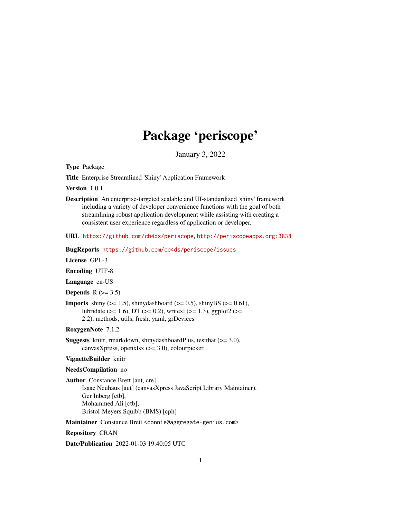# Package 'periscope'

January 3, 2022

<span id="page-0-0"></span>Type Package

Title Enterprise Streamlined 'Shiny' Application Framework

Version 1.0.1

Description An enterprise-targeted scalable and UI-standardized 'shiny' framework including a variety of developer convenience functions with the goal of both streamlining robust application development while assisting with creating a consistent user experience regardless of application or developer.

URL <https://github.com/cb4ds/periscope>, <http://periscopeapps.org:3838>

BugReports <https://github.com/cb4ds/periscope/issues>

License GPL-3

Encoding UTF-8

Language en-US

Depends  $R$  ( $>= 3.5$ )

**Imports** shiny ( $>= 1.5$ ), shinydashboard ( $>= 0.5$ ), shinyBS ( $>= 0.61$ ), lubridate ( $>= 1.6$ ), DT ( $>= 0.2$ ), writexl ( $>= 1.3$ ), ggplot2 ( $>=$ 2.2), methods, utils, fresh, yaml, grDevices

RoxygenNote 7.1.2

**Suggests** knitr, rmarkdown, shinydashboardPlus, testthat  $(>= 3.0)$ , canvasXpress, openxlsx (>= 3.0), colourpicker

#### VignetteBuilder knitr

#### NeedsCompilation no

Author Constance Brett [aut, cre], Isaac Neuhaus [aut] (canvasXpress JavaScript Library Maintainer), Ger Inberg [ctb], Mohammed Ali [ctb], Bristol-Meyers Squibb (BMS) [cph]

Maintainer Constance Brett <connie@aggregate-genius.com>

Repository CRAN

Date/Publication 2022-01-03 19:40:05 UTC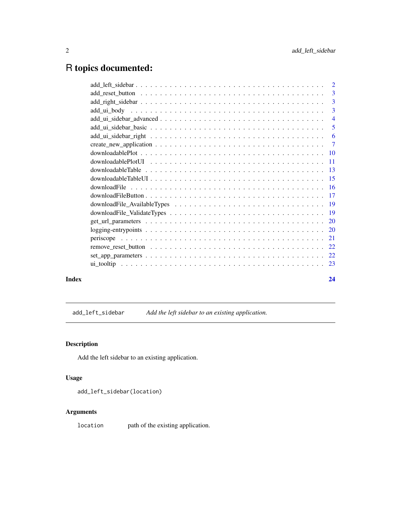# <span id="page-1-0"></span>R topics documented:

|       | 3              |
|-------|----------------|
|       |                |
|       | 3              |
|       | $\overline{4}$ |
|       | 5              |
|       |                |
|       |                |
|       |                |
|       |                |
|       |                |
|       |                |
|       |                |
|       |                |
|       |                |
|       |                |
|       |                |
|       |                |
|       |                |
|       |                |
|       |                |
|       |                |
| Index | 24             |

add\_left\_sidebar *Add the left sidebar to an existing application.*

# Description

Add the left sidebar to an existing application.

# Usage

add\_left\_sidebar(location)

# Arguments

location path of the existing application.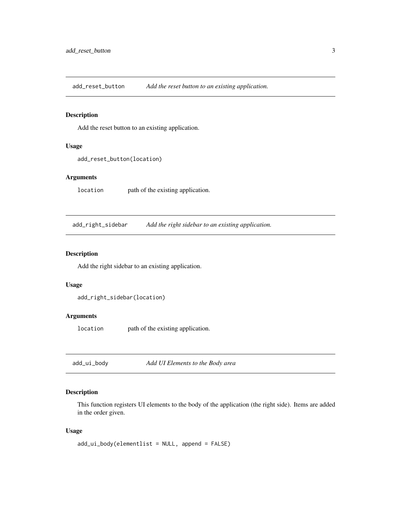<span id="page-2-0"></span>add\_reset\_button *Add the reset button to an existing application.*

# Description

Add the reset button to an existing application.

#### Usage

```
add_reset_button(location)
```
# Arguments

location path of the existing application.

add\_right\_sidebar *Add the right sidebar to an existing application.*

### Description

Add the right sidebar to an existing application.

#### Usage

```
add_right_sidebar(location)
```
# Arguments

location path of the existing application.

<span id="page-2-1"></span>add\_ui\_body *Add UI Elements to the Body area*

# Description

This function registers UI elements to the body of the application (the right side). Items are added in the order given.

#### Usage

add\_ui\_body(elementlist = NULL, append = FALSE)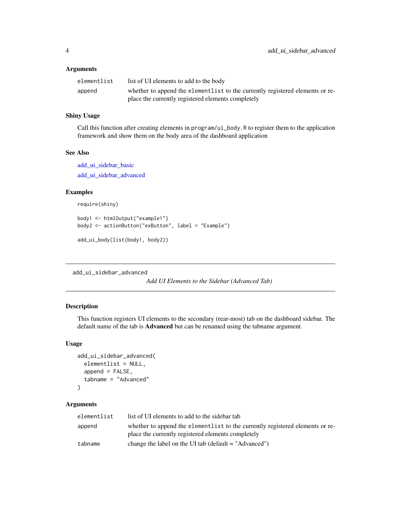# <span id="page-3-0"></span>Arguments

| elementlist | list of UI elements to add to the body                                        |
|-------------|-------------------------------------------------------------------------------|
| append      | whether to append the elementlist to the currently registered elements or re- |
|             | place the currently registered elements completely                            |

# Shiny Usage

Call this function after creating elements in program/ui\_body.R to register them to the application framework and show them on the body area of the dashboard application

# See Also

[add\\_ui\\_sidebar\\_basic](#page-4-1) [add\\_ui\\_sidebar\\_advanced](#page-3-1)

#### Examples

```
require(shiny)
```

```
body1 <- htmlOutput("example1")
body2 <- actionButton("exButton", label = "Example")
add_ui_body(list(body1, body2))
```
<span id="page-3-1"></span>add\_ui\_sidebar\_advanced

*Add UI Elements to the Sidebar (Advanced Tab)*

# Description

This function registers UI elements to the secondary (rear-most) tab on the dashboard sidebar. The default name of the tab is **Advanced** but can be renamed using the tabname argument.

#### Usage

```
add_ui_sidebar_advanced(
  elementlist = NULL,
  append = FALSE,tabname = "Advanced"
\lambda
```

| elementlist | list of UI elements to add to the sidebar tab                                                                                       |
|-------------|-------------------------------------------------------------------------------------------------------------------------------------|
| append      | whether to append the elementlist to the currently registered elements or re-<br>place the currently registered elements completely |
| tabname     | change the label on the UI tab (default $=$ "Advanced")                                                                             |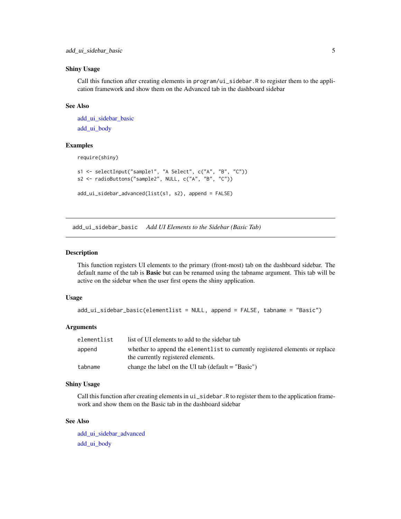#### <span id="page-4-0"></span>Shiny Usage

Call this function after creating elements in program/ui\_sidebar.R to register them to the application framework and show them on the Advanced tab in the dashboard sidebar

# See Also

```
add_ui_sidebar_basic
add_ui_body
```
#### Examples

require(shiny)

```
s1 <- selectInput("sample1", "A Select", c("A", "B", "C"))
s2 <- radioButtons("sample2", NULL, c("A", "B", "C"))
```

```
add_ui_sidebar_advanced(list(s1, s2), append = FALSE)
```
<span id="page-4-1"></span>add\_ui\_sidebar\_basic *Add UI Elements to the Sidebar (Basic Tab)*

# Description

This function registers UI elements to the primary (front-most) tab on the dashboard sidebar. The default name of the tab is Basic but can be renamed using the tabname argument. This tab will be active on the sidebar when the user first opens the shiny application.

#### Usage

```
add_ui_sidebar_basic(elementlist = NULL, append = FALSE, tabname = "Basic")
```
#### Arguments

| elementlist | list of UI elements to add to the sidebar tab                                                                       |
|-------------|---------------------------------------------------------------------------------------------------------------------|
| append      | whether to append the elementlist to currently registered elements or replace<br>the currently registered elements. |
| tabname     | change the label on the UI tab (default $=$ "Basic")                                                                |

#### Shiny Usage

Call this function after creating elements in ui\_sidebar.R to register them to the application framework and show them on the Basic tab in the dashboard sidebar

# See Also

[add\\_ui\\_sidebar\\_advanced](#page-3-1) [add\\_ui\\_body](#page-2-1)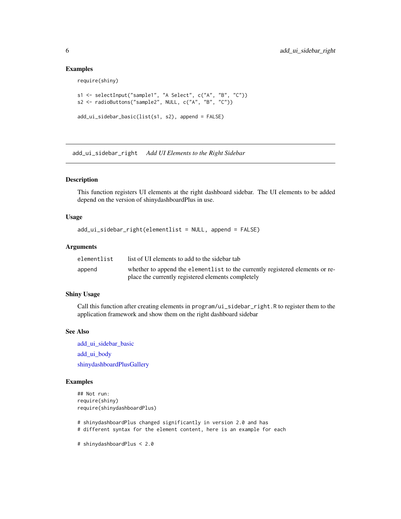### Examples

require(shiny)

```
s1 <- selectInput("sample1", "A Select", c("A", "B", "C"))
s2 <- radioButtons("sample2", NULL, c("A", "B", "C"))
add_ui_sidebar_basic(list(s1, s2), append = FALSE)
```
<span id="page-5-1"></span>add\_ui\_sidebar\_right *Add UI Elements to the Right Sidebar*

#### Description

This function registers UI elements at the right dashboard sidebar. The UI elements to be added depend on the version of shinydashboardPlus in use.

#### Usage

```
add_ui_sidebar_right(elementlist = NULL, append = FALSE)
```
#### Arguments

| elementlist | list of UI elements to add to the sidebar tab                                 |
|-------------|-------------------------------------------------------------------------------|
| append      | whether to append the elementlist to the currently registered elements or re- |
|             | place the currently registered elements completely                            |

#### Shiny Usage

Call this function after creating elements in program/ui\_sidebar\_right.R to register them to the application framework and show them on the right dashboard sidebar

# See Also

add ui sidebar basic [add\\_ui\\_body](#page-2-1) [shinydashboardPlusGallery](#page-0-0)

```
## Not run:
require(shiny)
require(shinydashboardPlus)
```
- # shinydashboardPlus changed significantly in version 2.0 and has
- # different syntax for the element content, here is an example for each
- # shinydashboardPlus < 2.0

<span id="page-5-0"></span>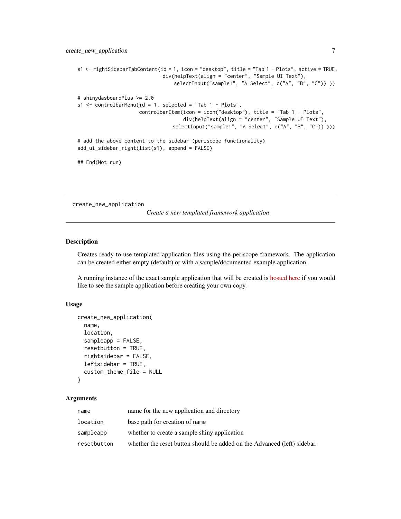```
s1 <- rightSidebarTabContent(id = 1, icon = "desktop", title = "Tab 1 - Plots", active = TRUE,
                             div(helpText(align = "center", "Sample UI Text"),
                                 selectInput("sample1", "A Select", c("A", "B", "C")) ))
# shinydasboardPlus >= 2.0
s1 <- controlbarMenu(id = 1, selected = "Tab 1 - Plots",
                     controlbarItem(icon = icon("desktop"), title = "Tab 1 - Plots",
                                    div(helpText(align = "center", "Sample UI Text"),
                                 selectInput("sample1", "A Select", c("A", "B", "C")) )))
# add the above content to the sidebar (periscope functionality)
add_ui_sidebar_right(list(s1), append = FALSE)
## End(Not run)
```
<span id="page-6-1"></span>create\_new\_application

*Create a new templated framework application*

# Description

Creates ready-to-use templated application files using the periscope framework. The application can be created either empty (default) or with a sample/documented example application.

A running instance of the exact sample application that will be created is [hosted here](http://periscopeapps.org:3838/periscope_template) if you would like to see the sample application before creating your own copy.

#### Usage

```
create_new_application(
  name,
  location,
  sampleapp = FALSE,
  resetbutton = TRUE,
  rightsidebar = FALSE,
  leftsidebar = TRUE,
  custom_theme_file = NULL
)
```

| name        | name for the new application and directory                               |
|-------------|--------------------------------------------------------------------------|
| location    | base path for creation of name                                           |
| sampleapp   | whether to create a sample shiny application                             |
| resetbutton | whether the reset button should be added on the Advanced (left) sidebar. |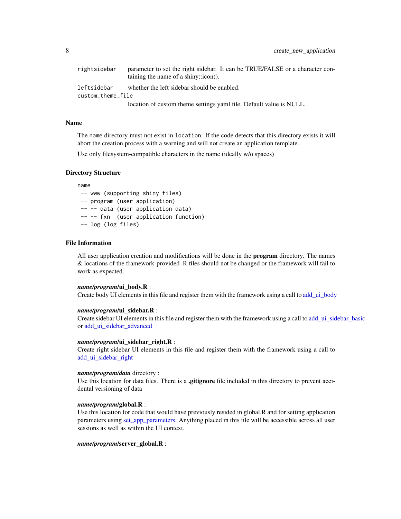<span id="page-7-0"></span>

| rightsidebar      | parameter to set the right sidebar. It can be TRUE/FALSE or a character con-<br>taining the name of a shiny:: $\text{icon}()$ . |
|-------------------|---------------------------------------------------------------------------------------------------------------------------------|
| leftsidebar       | whether the left sidebar should be enabled.                                                                                     |
| custom theme file |                                                                                                                                 |
|                   | location of custom theme settings yaml file. Default value is NULL.                                                             |

#### Name

The name directory must not exist in location. If the code detects that this directory exists it will abort the creation process with a warning and will not create an application template.

Use only filesystem-compatible characters in the name (ideally w/o spaces)

#### Directory Structure

name

-- www (supporting shiny files) -- program (user application) -- -- data (user application data) -- -- fxn (user application function) -- log (log files)

#### File Information

All user application creation and modifications will be done in the **program** directory. The names & locations of the framework-provided .R files should not be changed or the framework will fail to work as expected.

#### *name/program*/ui\_body.R :

Create body UI elements in this file and register them with the framework using a call to [add\\_ui\\_body](#page-2-1)

#### *name/program*/ui\_sidebar.R :

Create sidebar UI elements in this file and register them with the framework using a call to [add\\_ui\\_sidebar\\_basic](#page-4-1) or [add\\_ui\\_sidebar\\_advanced](#page-3-1)

#### *name/program*/ui\_sidebar\_right.R :

Create right sidebar UI elements in this file and register them with the framework using a call to add ui sidebar right

#### *name/program/data* directory :

Use this location for data files. There is a **.gitignore** file included in this directory to prevent accidental versioning of data

#### *name/program*/global.R :

Use this location for code that would have previously resided in global.R and for setting application parameters using set app parameters. Anything placed in this file will be accessible across all user sessions as well as within the UI context.

#### *name/program*/server\_global.R :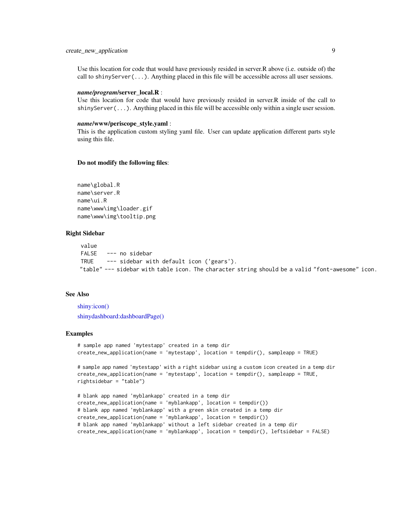# <span id="page-8-0"></span>create\_new\_application 9

Use this location for code that would have previously resided in server.R above (i.e. outside of) the call to shinyServer( $\dots$ ). Anything placed in this file will be accessible across all user sessions.

#### *name/program*/server\_local.R :

Use this location for code that would have previously resided in server.R inside of the call to shinyServer(...). Anything placed in this file will be accessible only within a single user session.

#### *name*/www/periscope\_style.yaml :

This is the application custom styling yaml file. User can update application different parts style using this file.

#### Do not modify the following files:

name\global.R name\server.R name\ui.R name\www\img\loader.gif name\www\img\tooltip.png

#### Right Sidebar

value FALSE --- no sidebar TRUE --- sidebar with default icon ('gears'). "table" --- sidebar with table icon. The character string should be a valid "font-awesome" icon.

#### See Also

[shiny:icon\(\)](#page-0-0) [shinydashboard:dashboardPage\(\)](#page-0-0)

```
# sample app named 'mytestapp' created in a temp dir
create_new_application(name = 'mytestapp', location = tempdir(), sampleapp = TRUE)
# sample app named 'mytestapp' with a right sidebar using a custom icon created in a temp dir
create_new_application(name = 'mytestapp', location = tempdir(), sampleapp = TRUE,
rightsidebar = "table")
# blank app named 'myblankapp' created in a temp dir
create_new_application(name = 'myblankapp', location = tempdir())
# blank app named 'myblankapp' with a green skin created in a temp dir
```

```
create_new_application(name = 'myblankapp', location = tempdir())
# blank app named 'myblankapp' without a left sidebar created in a temp dir
create_new_application(name = 'myblankapp', location = tempdir(), leftsidebar = FALSE)
```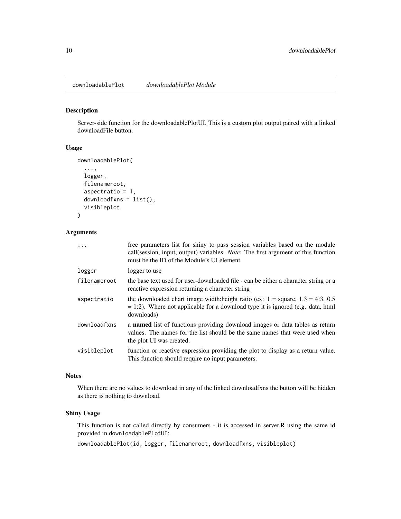<span id="page-9-1"></span><span id="page-9-0"></span>downloadablePlot *downloadablePlot Module*

#### Description

Server-side function for the downloadablePlotUI. This is a custom plot output paired with a linked downloadFile button.

#### Usage

```
downloadablePlot(
```

```
...,
logger,
filenameroot,
aspectratio = 1,
downloadfxns = list(),
visibleplot
```

```
)
```
# Arguments

| .            | free parameters list for shiny to pass session variables based on the module<br>call(session, input, output) variables. <i>Note</i> : The first argument of this function<br>must be the ID of the Module's UI element |
|--------------|------------------------------------------------------------------------------------------------------------------------------------------------------------------------------------------------------------------------|
| logger       | logger to use                                                                                                                                                                                                          |
| filenameroot | the base text used for user-downloaded file - can be either a character string or a<br>reactive expression returning a character string                                                                                |
| aspectratio  | the downloaded chart image width: height ratio (ex: $1 = \text{square}, 1.3 = 4:3, 0.5$ )<br>$= 1:2$ ). Where not applicable for a download type it is ignored (e.g. data, html<br>downloads)                          |
| downloadfxns | a <b>named</b> list of functions providing download images or data tables as return<br>values. The names for the list should be the same names that were used when<br>the plot UI was created.                         |
| visibleplot  | function or reactive expression providing the plot to display as a return value.<br>This function should require no input parameters.                                                                                  |

### **Notes**

When there are no values to download in any of the linked downloadfxns the button will be hidden as there is nothing to download.

#### Shiny Usage

This function is not called directly by consumers - it is accessed in server.R using the same id provided in downloadablePlotUI:

downloadablePlot(id, logger, filenameroot, downloadfxns, visibleplot)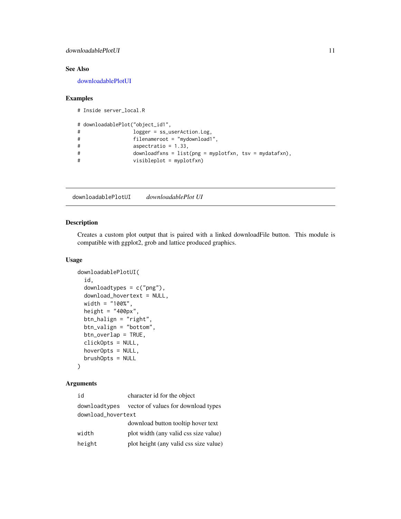# <span id="page-10-0"></span>downloadablePlotUI 11

# See Also

[downloadablePlotUI](#page-10-1)

## Examples

```
# Inside server_local.R
# downloadablePlot("object_id1",
# logger = ss_userAction.Log,
```

```
# filenameroot = "mydownload1",
# aspectratio = 1.33,
# downloadfxns = list(png = myplotfxn, tsv = mydatafxn),
# visibleplot = myplotfxn)
```
<span id="page-10-1"></span>downloadablePlotUI *downloadablePlot UI*

#### Description

Creates a custom plot output that is paired with a linked downloadFile button. This module is compatible with ggplot2, grob and lattice produced graphics.

# Usage

```
downloadablePlotUI(
  id,
  downloadtypes = c("png"),
  download_hovertext = NULL,
 width = "100%",
  height = "400px",
 btn_halign = "right",
 btn_valign = "bottom",
 btn_overlap = TRUE,
  clickOpts = NULL,
 hoverOpts = NULL,
 brushOpts = NULL
)
```

| id                 | character id for the object                        |  |
|--------------------|----------------------------------------------------|--|
|                    | download types vector of values for download types |  |
| download_hovertext |                                                    |  |
|                    | download button tooltip hover text                 |  |
| width              | plot width (any valid css size value)              |  |
| height             | plot height (any valid css size value)             |  |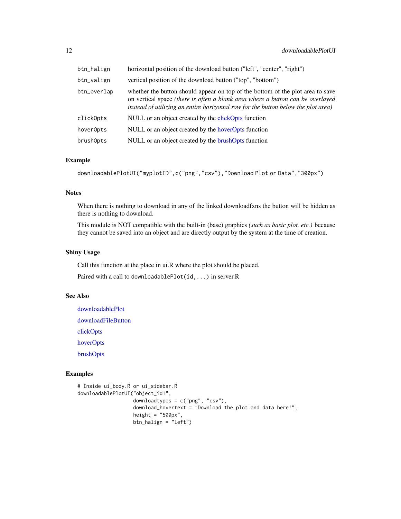<span id="page-11-0"></span>

| btn_halign  | horizontal position of the download button ("left", "center", "right")                                                                                                                                                                                |
|-------------|-------------------------------------------------------------------------------------------------------------------------------------------------------------------------------------------------------------------------------------------------------|
| btn_valign  | vertical position of the download button ("top", "bottom")                                                                                                                                                                                            |
| btn_overlap | whether the button should appear on top of the bottom of the plot area to save<br>on vertical space (there is often a blank area where a button can be overlayed<br>instead of utilizing an entire horizontal row for the button below the plot area) |
| click0pts   | NULL or an object created by the clickOpts function                                                                                                                                                                                                   |
| hoverOpts   | NULL or an object created by the hoverOpts function                                                                                                                                                                                                   |
| brushOpts   | NULL or an object created by the brushOpts function                                                                                                                                                                                                   |

# Example

```
downloadablePlotUI("myplotID",c("png","csv"),"Download Plot or Data","300px")
```
### Notes

When there is nothing to download in any of the linked downloadfxns the button will be hidden as there is nothing to download.

This module is NOT compatible with the built-in (base) graphics *(such as basic plot, etc.)* because they cannot be saved into an object and are directly output by the system at the time of creation.

# Shiny Usage

Call this function at the place in ui.R where the plot should be placed.

Paired with a call to downloadablePlot(id,...) in server.R

# See Also

[downloadablePlot](#page-9-1) [downloadFileButton](#page-16-1) [clickOpts](#page-0-0) [hoverOpts](#page-0-0) [brushOpts](#page-0-0)

```
# Inside ui_body.R or ui_sidebar.R
downloadablePlotUI("object_id1",
                  downloadtypes = c("png", "csv"),
                   download_hovertext = "Download the plot and data here!",
                  height = "500px",
                  btn_halign = "left")
```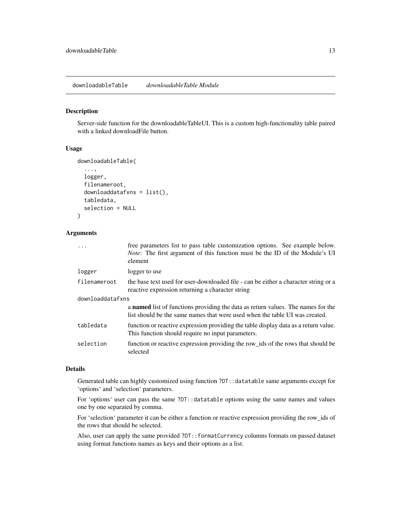# <span id="page-12-1"></span><span id="page-12-0"></span>Description

Server-side function for the downloadableTableUI. This is a custom high-functionality table paired with a linked downloadFile button.

#### Usage

```
downloadableTable(
  ...,
 logger,
  filenameroot,
  downloaddatafxns = list(),
  tabledata,
  selection = NULL
)
```
#### Arguments

| $\ddots$         | free parameters list to pass table customization options. See example below.<br><i>Note:</i> The first argument of this function must be the ID of the Module's UI<br>element |
|------------------|-------------------------------------------------------------------------------------------------------------------------------------------------------------------------------|
| logger           | logger to use                                                                                                                                                                 |
| filenameroot     | the base text used for user-downloaded file - can be either a character string or a<br>reactive expression returning a character string                                       |
| downloaddatafxns |                                                                                                                                                                               |
|                  | a <b>named</b> list of functions providing the data as return values. The names for the<br>list should be the same names that were used when the table UI was created.        |
| tabledata        | function or reactive expression providing the table display data as a return value.<br>This function should require no input parameters.                                      |
| selection        | function or reactive expression providing the row_ids of the rows that should be<br>selected                                                                                  |

#### Details

Generated table can highly customized using function ?DT::datatable same arguments except for 'options' and 'selection' parameters.

For 'options' user can pass the same ?DT::datatable options using the same names and values one by one separated by comma.

For 'selection' parameter it can be either a function or reactive expression providing the row\_ids of the rows that should be selected.

Also, user can apply the same provided ?DT::formatCurrency columns formats on passed dataset using format functions names as keys and their options as a list.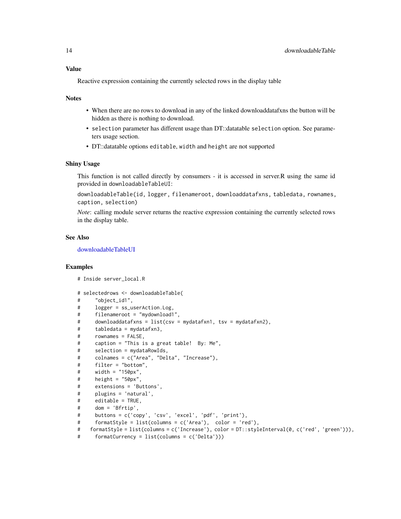#### <span id="page-13-0"></span>Value

Reactive expression containing the currently selected rows in the display table

#### **Notes**

- When there are no rows to download in any of the linked downloaddatafxns the button will be hidden as there is nothing to download.
- selection parameter has different usage than DT::datatable selection option. See parameters usage section.
- DT::datatable options editable, width and height are not supported

#### Shiny Usage

This function is not called directly by consumers - it is accessed in server.R using the same id provided in downloadableTableUI:

downloadableTable(id, logger, filenameroot, downloaddatafxns, tabledata, rownames, caption, selection)

*Note*: calling module server returns the reactive expression containing the currently selected rows in the display table.

# See Also

[downloadableTableUI](#page-14-1)

```
# Inside server_local.R
```

```
# selectedrows <- downloadableTable(
# "object_id1",
# logger = ss_userAction.Log,
# filenameroot = "mydownload1",
# downloaddatafxns = list(csv = mydatafxn1, tsv = mydatafxn2),
# tabledata = mydatafxn3,
# rownames = FALSE,
# caption = "This is a great table! By: Me",
# selection = mydataRowIds,
# colnames = c("Area", "Delta", "Increase"),
# filter = "bottom",
# width = "150px",
# height = "50px",
# extensions = 'Buttons',
# plugins = 'natural',
# editable = TRUE,
# dom = 'Bfrtip',
# buttons = c('copy', 'csv', 'excel', 'pdf', 'print'),
# formatStyle = list(columns = c('Area'), color = 'red'),
# formatStyle = list(columns = c('Increase'), color = DT::styleInterval(0, c('red', 'green'))),
# formatCurrency = list(columns = c('Delta')))
```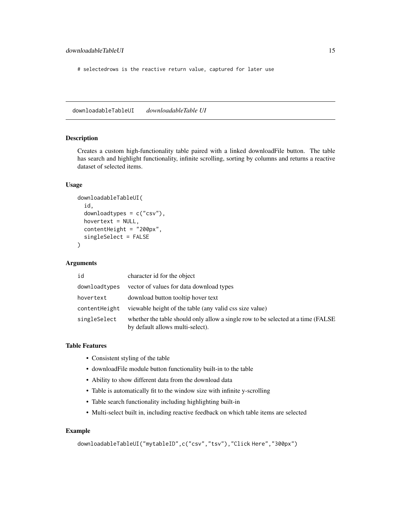<span id="page-14-0"></span># selectedrows is the reactive return value, captured for later use

<span id="page-14-1"></span>downloadableTableUI *downloadableTable UI*

#### Description

Creates a custom high-functionality table paired with a linked downloadFile button. The table has search and highlight functionality, infinite scrolling, sorting by columns and returns a reactive dataset of selected items.

#### Usage

```
downloadableTableUI(
  id,
  downloadtypes = c("csv"),
  hovertext = NULL,
  contentHeight = "200px",
  singleSelect = FALSE
)
```
# Arguments

| id            | character id for the object                                                                                           |
|---------------|-----------------------------------------------------------------------------------------------------------------------|
| downloadtypes | vector of values for data download types                                                                              |
| hovertext     | download button tooltip hover text                                                                                    |
| contentHeight | viewable height of the table (any valid css size value)                                                               |
| singleSelect  | whether the table should only allow a single row to be selected at a time (FALSE)<br>by default allows multi-select). |

#### Table Features

- Consistent styling of the table
- downloadFile module button functionality built-in to the table
- Ability to show different data from the download data
- Table is automatically fit to the window size with infinite y-scrolling
- Table search functionality including highlighting built-in
- Multi-select built in, including reactive feedback on which table items are selected

```
downloadableTableUI("mytableID",c("csv","tsv"),"Click Here","300px")
```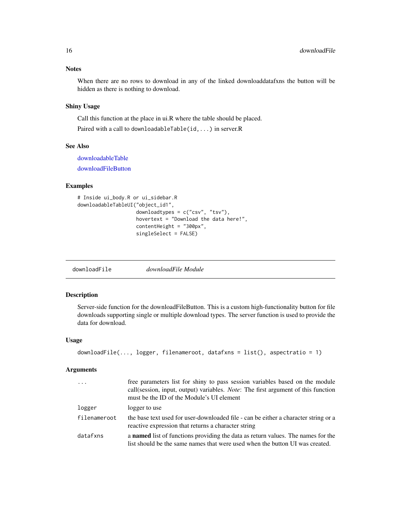#### <span id="page-15-0"></span>**Notes**

When there are no rows to download in any of the linked downloaddatafxns the button will be hidden as there is nothing to download.

# Shiny Usage

Call this function at the place in ui.R where the table should be placed.

Paired with a call to downloadableTable(id,...) in server.R

## See Also

[downloadableTable](#page-12-1)

[downloadFileButton](#page-16-1)

# Examples

```
# Inside ui_body.R or ui_sidebar.R
downloadableTableUI("object_id1",
                    downloadtypes = c("csv", "tsv"),
                    hovertext = "Download the data here!",
                    contentHeight = "300px",
                    singleSelect = FALSE)
```
<span id="page-15-1"></span>downloadFile *downloadFile Module*

# Description

Server-side function for the downloadFileButton. This is a custom high-functionality button for file downloads supporting single or multiple download types. The server function is used to provide the data for download.

#### Usage

```
downloadFile(..., logger, filenameroot, datafxns = list(), aspectratio = 1)
```

| $\cdot$      | free parameters list for shiny to pass session variables based on the module<br>call(session, input, output) variables. <i>Note</i> : The first argument of this function<br>must be the ID of the Module's UI element |
|--------------|------------------------------------------------------------------------------------------------------------------------------------------------------------------------------------------------------------------------|
| logger       | logger to use                                                                                                                                                                                                          |
| filenameroot | the base text used for user-downloaded file - can be either a character string or a<br>reactive expression that returns a character string                                                                             |
| datafxns     | a <b>named</b> list of functions providing the data as return values. The names for the<br>list should be the same names that were used when the button UI was created.                                                |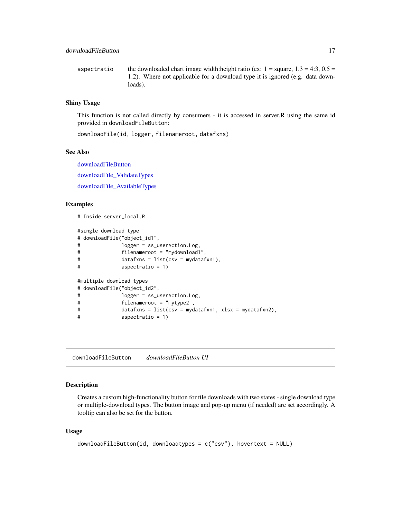<span id="page-16-0"></span>aspectratio the downloaded chart image width:height ratio (ex:  $1 =$  square,  $1.3 = 4:3$ ,  $0.5 =$ 1:2). Where not applicable for a download type it is ignored (e.g. data downloads).

## Shiny Usage

This function is not called directly by consumers - it is accessed in server.R using the same id provided in downloadFileButton:

downloadFile(id, logger, filenameroot, datafxns)

#### See Also

[downloadFileButton](#page-16-1) [downloadFile\\_ValidateTypes](#page-18-1) [downloadFile\\_AvailableTypes](#page-18-2)

#### Examples

```
# Inside server_local.R
#single download type
# downloadFile("object_id1",
# logger = ss_userAction.Log,
# filenameroot = "mydownload1",
# datafxns = list(csv = mydatafxn1),
# aspectratio = 1)
#multiple download types
# downloadFile("object_id2",
# logger = ss_userAction.Log,
# filenameroot = "mytype2",
# datafxns = list(csv = mydatafxn1, xlsx = mydatafxn2),
# aspectratio = 1)
```
<span id="page-16-1"></span>downloadFileButton *downloadFileButton UI*

#### Description

Creates a custom high-functionality button for file downloads with two states - single download type or multiple-download types. The button image and pop-up menu (if needed) are set accordingly. A tooltip can also be set for the button.

#### Usage

```
downloadFileButton(id, downloadtypes = c("csv"), hovertext = NULL)
```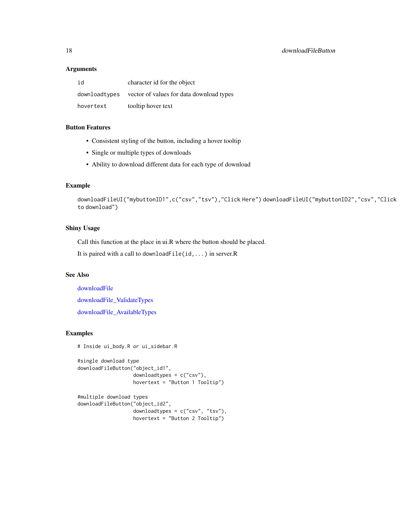#### <span id="page-17-0"></span>**Arguments**

| id        | character id for the object                             |
|-----------|---------------------------------------------------------|
|           | download types vector of values for data download types |
| hovertext | tooltip hover text                                      |

# Button Features

- Consistent styling of the button, including a hover tooltip
- Single or multiple types of downloads
- Ability to download different data for each type of download

# Example

```
downloadFileUI("mybuttonID1",c("csv","tsv"),"Click Here") downloadFileUI("mybuttonID2","csv","Click
to download")
```
#### Shiny Usage

Call this function at the place in ui.R where the button should be placed.

It is paired with a call to downloadFile(id,...) in server.R

#### See Also

[downloadFile](#page-15-1) [downloadFile\\_ValidateTypes](#page-18-1) [downloadFile\\_AvailableTypes](#page-18-2)

```
# Inside ui_body.R or ui_sidebar.R
```

```
#single download type
downloadFileButton("object_id1",
                   downloadtypes = c("csv"),
                   hovertext = "Button 1 Tooltip")
```

```
#multiple download types
downloadFileButton("object_id2",
                  downloadtypes = c("csv", "tsv"),
                  hovertext = "Button 2 Tooltip")
```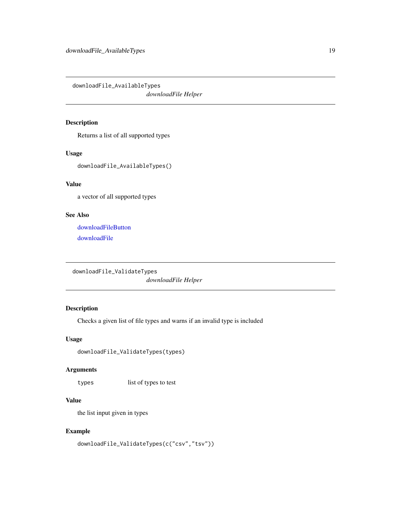<span id="page-18-2"></span><span id="page-18-0"></span>downloadFile\_AvailableTypes

*downloadFile Helper*

# Description

Returns a list of all supported types

#### Usage

downloadFile\_AvailableTypes()

# Value

a vector of all supported types

# See Also

[downloadFileButton](#page-16-1) [downloadFile](#page-15-1)

```
downloadFile_ValidateTypes
```
*downloadFile Helper*

# Description

Checks a given list of file types and warns if an invalid type is included

# Usage

downloadFile\_ValidateTypes(types)

#### Arguments

types list of types to test

# Value

the list input given in types

```
downloadFile_ValidateTypes(c("csv","tsv"))
```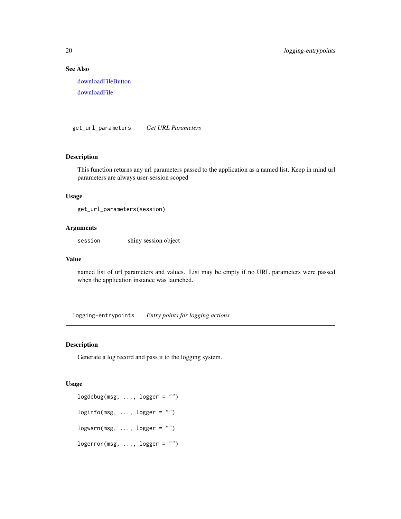# See Also

[downloadFileButton](#page-16-1) [downloadFile](#page-15-1)

<span id="page-19-1"></span>get\_url\_parameters *Get URL Parameters*

#### Description

This function returns any url parameters passed to the application as a named list. Keep in mind url parameters are always user-session scoped

#### Usage

get\_url\_parameters(session)

#### Arguments

session shiny session object

#### Value

named list of url parameters and values. List may be empty if no URL parameters were passed when the application instance was launched.

logging-entrypoints *Entry points for logging actions*

#### Description

Generate a log record and pass it to the logging system.

#### Usage

 $logdebug(msg, ..., logger = "")$  $loginfo(msg, ..., logger = "")$  $logwarn(msg, ..., logger = "")$  $logerror(msg, ..., logger = "")$ 

<span id="page-19-0"></span>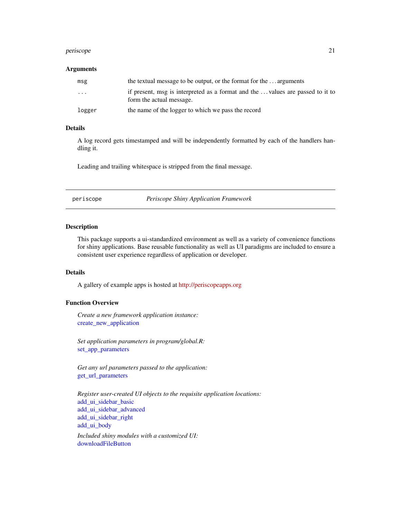#### <span id="page-20-0"></span>periscope 21

#### **Arguments**

| msg    | the textual message to be output, or the format for the  arguments                                         |
|--------|------------------------------------------------------------------------------------------------------------|
| .      | if present, msg is interpreted as a format and the  values are passed to it to<br>form the actual message. |
| logger | the name of the logger to which we pass the record                                                         |

#### Details

A log record gets timestamped and will be independently formatted by each of the handlers handling it.

Leading and trailing whitespace is stripped from the final message.

periscope *Periscope Shiny Application Framework*

## Description

This package supports a ui-standardized environment as well as a variety of convenience functions for shiny applications. Base reusable functionality as well as UI paradigms are included to ensure a consistent user experience regardless of application or developer.

#### Details

A gallery of example apps is hosted at [http://periscopeapps.org](http://periscopeapps.org:3838)

### Function Overview

*Create a new framework application instance:* [create\\_new\\_application](#page-6-1)

*Set application parameters in program/global.R:* [set\\_app\\_parameters](#page-21-1)

*Get any url parameters passed to the application:* [get\\_url\\_parameters](#page-19-1)

*Register user-created UI objects to the requisite application locations:* [add\\_ui\\_sidebar\\_basic](#page-4-1) [add\\_ui\\_sidebar\\_advanced](#page-3-1) [add\\_ui\\_sidebar\\_right](#page-5-1) [add\\_ui\\_body](#page-2-1) *Included shiny modules with a customized UI:* [downloadFileButton](#page-16-1)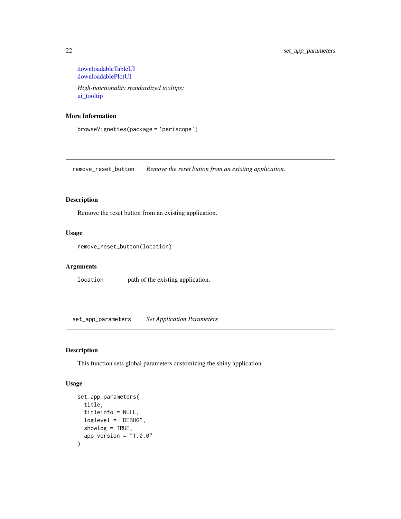<span id="page-21-0"></span>[downloadableTableUI](#page-14-1) [downloadablePlotUI](#page-10-1)

*High-functionality standardized tooltips:* [ui\\_tooltip](#page-22-1)

# More Information

browseVignettes(package = 'periscope')

remove\_reset\_button *Remove the reset button from an existing application.*

# Description

Remove the reset button from an existing application.

#### Usage

```
remove_reset_button(location)
```
# Arguments

location path of the existing application.

<span id="page-21-1"></span>set\_app\_parameters *Set Application Parameters*

# Description

This function sets global parameters customizing the shiny application.

#### Usage

```
set_app_parameters(
  title,
  titleinfo = NULL,
  loglevel = "DEBUG",
  showlog = TRUE,
  app\_version = "1.0.0"\mathcal{E}
```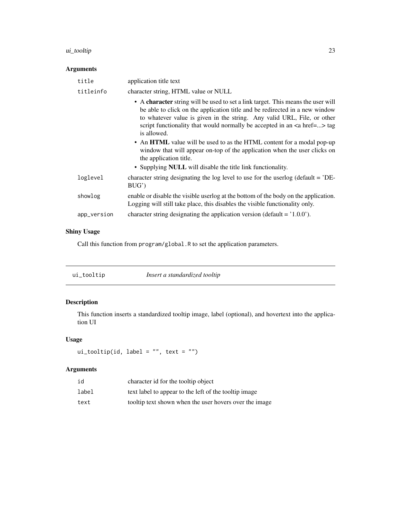#### <span id="page-22-0"></span>ui\_tooltip 23

| <b>Arguments</b> |                                                                                                                                                                                                                                                                                                                                                                                                                                                                                                                                                                                             |
|------------------|---------------------------------------------------------------------------------------------------------------------------------------------------------------------------------------------------------------------------------------------------------------------------------------------------------------------------------------------------------------------------------------------------------------------------------------------------------------------------------------------------------------------------------------------------------------------------------------------|
| title            | application title text                                                                                                                                                                                                                                                                                                                                                                                                                                                                                                                                                                      |
| titleinfo        | character string, HTML value or NULL                                                                                                                                                                                                                                                                                                                                                                                                                                                                                                                                                        |
|                  | • A character string will be used to set a link target. This means the user will<br>be able to click on the application title and be redirected in a new window<br>to whatever value is given in the string. Any valid URL, File, or other<br>script functionality that would normally be accepted in an $\leq a$ href=> tag<br>is allowed.<br>• An HTML value will be used to as the HTML content for a modal pop-up<br>window that will appear on-top of the application when the user clicks on<br>the application title.<br>• Supplying NULL will disable the title link functionality. |
| loglevel         | character string designating the log level to use for the userlog (default = 'DE-<br>BUG                                                                                                                                                                                                                                                                                                                                                                                                                                                                                                    |
| showlog          | enable or disable the visible userlog at the bottom of the body on the application.<br>Logging will still take place, this disables the visible functionality only.                                                                                                                                                                                                                                                                                                                                                                                                                         |
| app_version      | character string designating the application version (default = $1.00$ ).                                                                                                                                                                                                                                                                                                                                                                                                                                                                                                                   |

# Shiny Usage

Call this function from program/global.R to set the application parameters.

<span id="page-22-1"></span>

| Insert a standardized tooltip<br>ui_tooltip |
|---------------------------------------------|
|---------------------------------------------|

# Description

This function inserts a standardized tooltip image, label (optional), and hovertext into the application UI

# Usage

```
ui_tooltip(id, label = ", text = ")
```

| id    | character id for the tooltip object                     |
|-------|---------------------------------------------------------|
| label | text label to appear to the left of the tooltip image   |
| text  | tool tip text shown when the user hovers over the image |